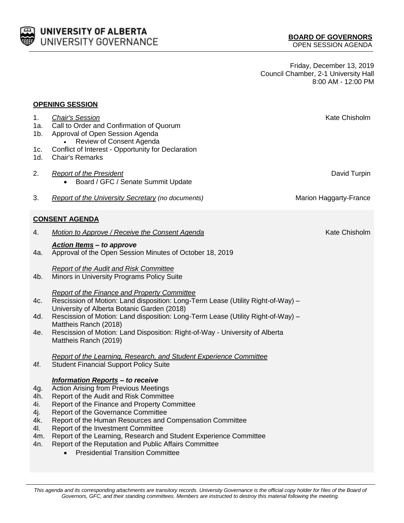

Friday, December 13, 2019 Council Chamber, 2-1 University Hall 8:00 AM - 12:00 PM

| <b>OPENING SESSION</b>                               |                                                                                                                                                                                                                                                                                                                                                                                                                                                                                                     |                        |  |
|------------------------------------------------------|-----------------------------------------------------------------------------------------------------------------------------------------------------------------------------------------------------------------------------------------------------------------------------------------------------------------------------------------------------------------------------------------------------------------------------------------------------------------------------------------------------|------------------------|--|
| 1.<br>1a.<br>1b.<br>1c.                              | <b>Chair's Session</b><br>Call to Order and Confirmation of Quorum<br>Approval of Open Session Agenda<br>Review of Consent Agenda<br>Conflict of Interest - Opportunity for Declaration                                                                                                                                                                                                                                                                                                             | Kate Chisholm          |  |
| 1d.                                                  | <b>Chair's Remarks</b>                                                                                                                                                                                                                                                                                                                                                                                                                                                                              |                        |  |
| 2.                                                   | <b>Report of the President</b><br>Board / GFC / Senate Summit Update<br>$\bullet$                                                                                                                                                                                                                                                                                                                                                                                                                   | David Turpin           |  |
| 3.                                                   | <b>Report of the University Secretary (no documents)</b>                                                                                                                                                                                                                                                                                                                                                                                                                                            | Marion Haggarty-France |  |
| <b>CONSENT AGENDA</b>                                |                                                                                                                                                                                                                                                                                                                                                                                                                                                                                                     |                        |  |
| 4.                                                   | Motion to Approve / Receive the Consent Agenda                                                                                                                                                                                                                                                                                                                                                                                                                                                      | Kate Chisholm          |  |
| 4a.                                                  | <b>Action Items - to approve</b><br>Approval of the Open Session Minutes of October 18, 2019                                                                                                                                                                                                                                                                                                                                                                                                        |                        |  |
| 4b.                                                  | <b>Report of the Audit and Risk Committee</b><br>Minors in University Programs Policy Suite                                                                                                                                                                                                                                                                                                                                                                                                         |                        |  |
| 4c.<br>4d.<br>4e.                                    | <b>Report of the Finance and Property Committee</b><br>Rescission of Motion: Land disposition: Long-Term Lease (Utility Right-of-Way) -<br>University of Alberta Botanic Garden (2018)<br>Rescission of Motion: Land disposition: Long-Term Lease (Utility Right-of-Way) -<br>Mattheis Ranch (2018)<br>Rescission of Motion: Land Disposition: Right-of-Way - University of Alberta<br>Mattheis Ranch (2019)                                                                                        |                        |  |
| 4f.                                                  | <b>Report of the Learning, Research, and Student Experience Committee</b><br><b>Student Financial Support Policy Suite</b>                                                                                                                                                                                                                                                                                                                                                                          |                        |  |
| 4g.<br>4h.<br>4i.<br>4j.<br>4k.<br>41.<br>4m.<br>4n. | <b>Information Reports - to receive</b><br><b>Action Arising from Previous Meetings</b><br>Report of the Audit and Risk Committee<br>Report of the Finance and Property Committee<br>Report of the Governance Committee<br>Report of the Human Resources and Compensation Committee<br>Report of the Investment Committee<br>Report of the Learning, Research and Student Experience Committee<br>Report of the Reputation and Public Affairs Committee<br><b>Presidential Transition Committee</b> |                        |  |